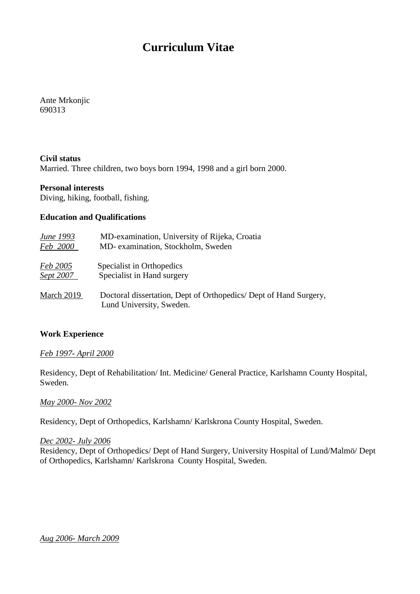# **Curriculum Vitae**

Ante Mrkonjic 690313

## **Civil status**

Married. Three children, two boys born 1994, 1998 and a girl born 2000.

#### **Personal interests**

Diving, hiking, football, fishing.

#### **Education and Qualifications**

| June 1993       | MD-examination, University of Rijeka, Croatia                                                |
|-----------------|----------------------------------------------------------------------------------------------|
| <i>Feb</i> 2000 | MD- examination, Stockholm, Sweden                                                           |
| Feb 2005        | Specialist in Orthopedics                                                                    |
| Sept 2007       | Specialist in Hand surgery                                                                   |
| March 2019      | Doctoral dissertation, Dept of Orthopedics/Dept of Hand Surgery,<br>Lund University, Sweden. |

## **Work Experience**

#### *Feb 1997- April 2000*

Residency, Dept of Rehabilitation/ Int. Medicine/ General Practice, Karlshamn County Hospital, Sweden.

#### *May 2000- Nov 2002*

Residency, Dept of Orthopedics, Karlshamn/ Karlskrona County Hospital, Sweden.

#### *Dec 2002- July 2006*

Residency, Dept of Orthopedics/ Dept of Hand Surgery, University Hospital of Lund/Malmö/ Dept of Orthopedics, Karlshamn/ Karlskrona County Hospital, Sweden.

#### *Aug 2006- March 2009*